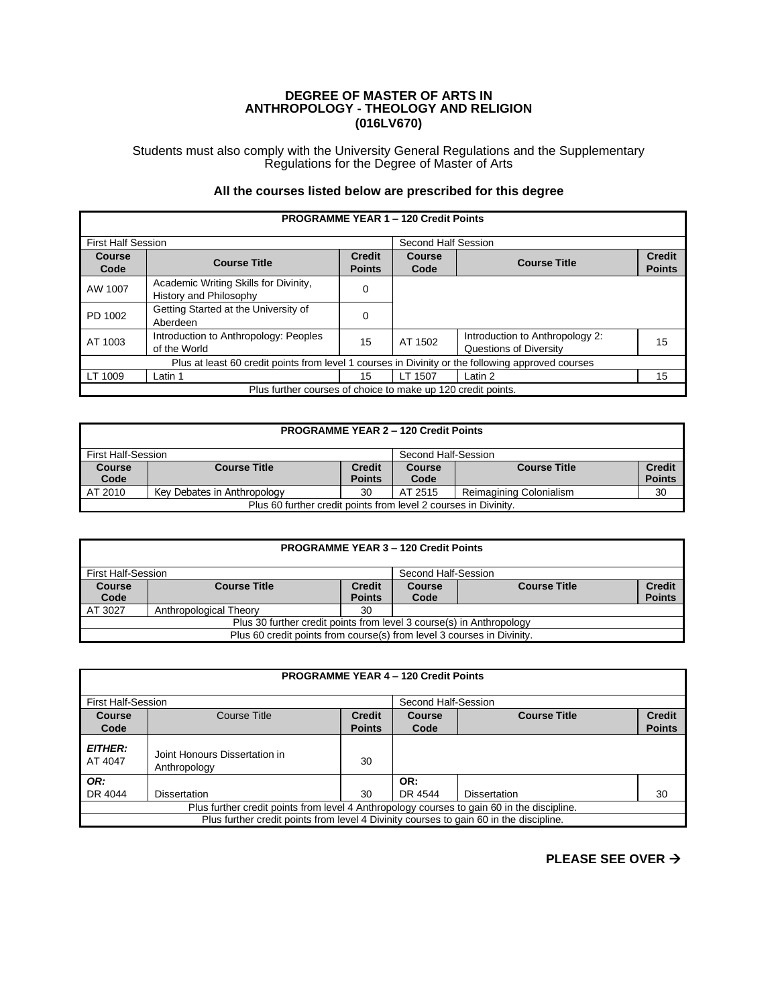## **DEGREE OF MASTER OF ARTS IN ANTHROPOLOGY - THEOLOGY AND RELIGION (016LV670)**

Students must also comply with the University General Regulations and the Supplementary Regulations for the Degree of Master of Arts

## **All the courses listed below are prescribed for this degree**

| <b>PROGRAMME YEAR 1 - 120 Credit Points</b>                                                       |                                                                 |                                |                       |                                                           |                                |
|---------------------------------------------------------------------------------------------------|-----------------------------------------------------------------|--------------------------------|-----------------------|-----------------------------------------------------------|--------------------------------|
| <b>First Half Session</b>                                                                         |                                                                 |                                | Second Half Session   |                                                           |                                |
| Course<br>Code                                                                                    | <b>Course Title</b>                                             | <b>Credit</b><br><b>Points</b> | <b>Course</b><br>Code | <b>Course Title</b>                                       | <b>Credit</b><br><b>Points</b> |
| AW 1007                                                                                           | Academic Writing Skills for Divinity,<br>History and Philosophy | 0                              |                       |                                                           |                                |
| PD 1002                                                                                           | Getting Started at the University of<br>Aberdeen                | 0                              |                       |                                                           |                                |
| AT 1003                                                                                           | Introduction to Anthropology: Peoples<br>of the World           | 15                             | AT 1502               | Introduction to Anthropology 2:<br>Questions of Diversity | 15                             |
| Plus at least 60 credit points from level 1 courses in Divinity or the following approved courses |                                                                 |                                |                       |                                                           |                                |
| LT 1009                                                                                           | Latin 1                                                         | 15                             | LT 1507               | Latin 2                                                   | 15                             |
|                                                                                                   | Plus further courses of choice to make up 120 credit points.    |                                |                       |                                                           |                                |

| <b>PROGRAMME YEAR 2 - 120 Credit Points</b>                     |                             |               |         |                         |               |
|-----------------------------------------------------------------|-----------------------------|---------------|---------|-------------------------|---------------|
| First Half-Session<br>Second Half-Session                       |                             |               |         |                         |               |
| <b>Course</b>                                                   | <b>Course Title</b>         | <b>Credit</b> | Course  | <b>Course Title</b>     | <b>Credit</b> |
| Code                                                            |                             | <b>Points</b> | Code    |                         | <b>Points</b> |
| AT 2010                                                         | Key Debates in Anthropology | 30            | AT 2515 | Reimagining Colonialism | 30            |
| Plus 60 further credit points from level 2 courses in Divinity. |                             |               |         |                         |               |

| <b>PROGRAMME YEAR 3 - 120 Credit Points</b>                            |                        |               |                     |                     |               |
|------------------------------------------------------------------------|------------------------|---------------|---------------------|---------------------|---------------|
| <b>First Half-Session</b>                                              |                        |               | Second Half-Session |                     |               |
| <b>Course</b>                                                          | <b>Course Title</b>    | <b>Credit</b> | Course              | <b>Course Title</b> | <b>Credit</b> |
| Code                                                                   |                        | <b>Points</b> | Code                |                     | <b>Points</b> |
| AT 3027                                                                | Anthropological Theory | 30            |                     |                     |               |
| Plus 30 further credit points from level 3 course(s) in Anthropology   |                        |               |                     |                     |               |
| Plus 60 credit points from course(s) from level 3 courses in Divinity. |                        |               |                     |                     |               |

|                                                                                            | <b>PROGRAMME YEAR 4 - 120 Credit Points</b>   |                                |                     |                     |                                |  |
|--------------------------------------------------------------------------------------------|-----------------------------------------------|--------------------------------|---------------------|---------------------|--------------------------------|--|
| <b>First Half-Session</b>                                                                  |                                               |                                | Second Half-Session |                     |                                |  |
| Course<br>Code                                                                             | Course Title                                  | <b>Credit</b><br><b>Points</b> | Course<br>Code      | <b>Course Title</b> | <b>Credit</b><br><b>Points</b> |  |
| <b>EITHER:</b><br>AT 4047                                                                  | Joint Honours Dissertation in<br>Anthropology | 30                             |                     |                     |                                |  |
| OR:                                                                                        |                                               |                                | OR:                 |                     |                                |  |
| DR 4044                                                                                    | <b>Dissertation</b>                           | 30                             | DR 4544             | <b>Dissertation</b> | 30                             |  |
| Plus further credit points from level 4 Anthropology courses to gain 60 in the discipline. |                                               |                                |                     |                     |                                |  |
| Plus further credit points from level 4 Divinity courses to gain 60 in the discipline.     |                                               |                                |                     |                     |                                |  |

**PLEASE SEE OVER** →